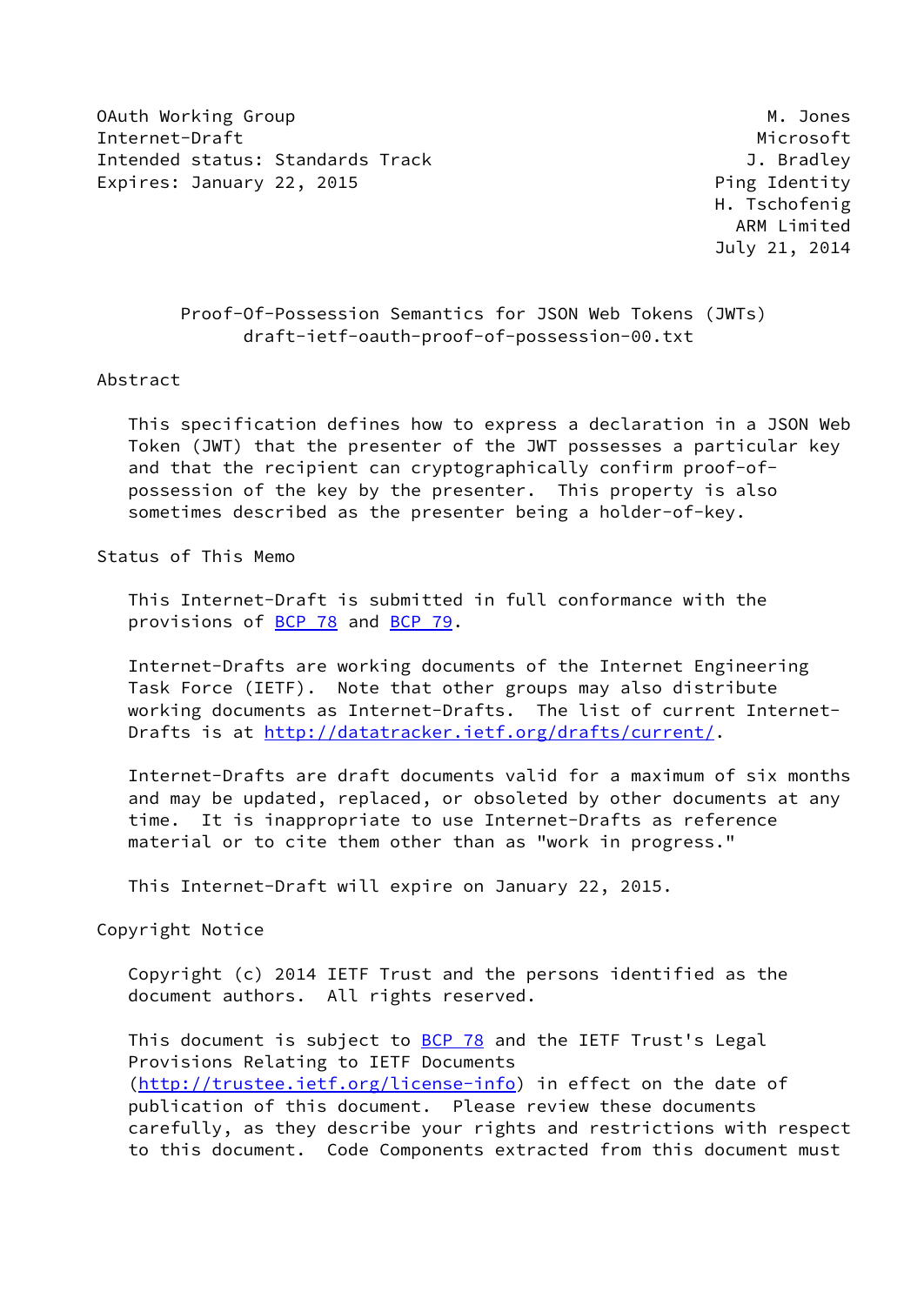OAuth Working Group Manuscript Communication of the Manuscript Communication of Manuscript Communication of Ma Internet-Draft Microsoft Microsoft Microsoft Microsoft Microsoft Microsoft Microsoft Microsoft Microsoft Microsoft Microsoft Microsoft Microsoft Microsoft Microsoft Microsoft Microsoft Microsoft Microsoft Microsoft Microso Intended status: Standards Track General Communisties of the U. Bradley Expires: January 22, 2015 **Ping Identity** 

 H. Tschofenig ARM Limited July 21, 2014

## Proof-Of-Possession Semantics for JSON Web Tokens (JWTs) draft-ietf-oauth-proof-of-possession-00.txt

#### Abstract

 This specification defines how to express a declaration in a JSON Web Token (JWT) that the presenter of the JWT possesses a particular key and that the recipient can cryptographically confirm proof-of possession of the key by the presenter. This property is also sometimes described as the presenter being a holder-of-key.

Status of This Memo

 This Internet-Draft is submitted in full conformance with the provisions of **BCP 78** and **BCP 79**.

 Internet-Drafts are working documents of the Internet Engineering Task Force (IETF). Note that other groups may also distribute working documents as Internet-Drafts. The list of current Internet Drafts is at<http://datatracker.ietf.org/drafts/current/>.

 Internet-Drafts are draft documents valid for a maximum of six months and may be updated, replaced, or obsoleted by other documents at any time. It is inappropriate to use Internet-Drafts as reference material or to cite them other than as "work in progress."

This Internet-Draft will expire on January 22, 2015.

Copyright Notice

 Copyright (c) 2014 IETF Trust and the persons identified as the document authors. All rights reserved.

This document is subject to **[BCP 78](https://datatracker.ietf.org/doc/pdf/bcp78)** and the IETF Trust's Legal Provisions Relating to IETF Documents [\(http://trustee.ietf.org/license-info](http://trustee.ietf.org/license-info)) in effect on the date of publication of this document. Please review these documents carefully, as they describe your rights and restrictions with respect to this document. Code Components extracted from this document must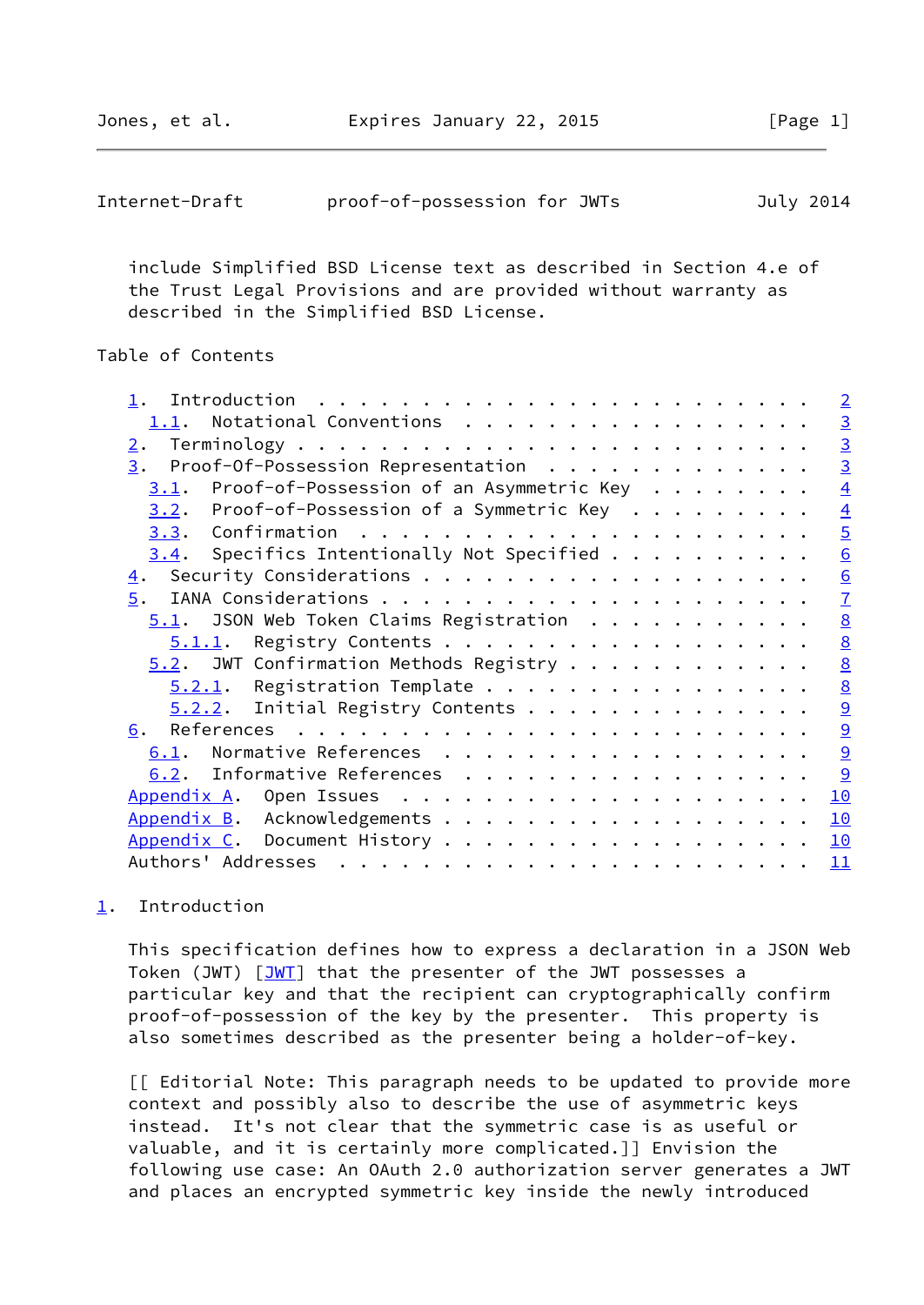<span id="page-1-1"></span>Jones, et al. **Expires January 22, 2015** [Page 1]

 include Simplified BSD License text as described in Section 4.e of the Trust Legal Provisions and are provided without warranty as described in the Simplified BSD License.

## Table of Contents

|                                                                                                                                                                                                                                                     | $\overline{2}$  |
|-----------------------------------------------------------------------------------------------------------------------------------------------------------------------------------------------------------------------------------------------------|-----------------|
| Notational Conventions<br>1.1.                                                                                                                                                                                                                      | $\overline{3}$  |
| 2.                                                                                                                                                                                                                                                  | $\overline{3}$  |
| Proof-Of-Possession Representation<br>3.                                                                                                                                                                                                            | $\overline{3}$  |
| Proof-of-Possession of an Asymmetric Key<br>3.1.                                                                                                                                                                                                    | $\overline{4}$  |
| Proof-of-Possession of a Symmetric Key<br>3.2.                                                                                                                                                                                                      | $\overline{4}$  |
|                                                                                                                                                                                                                                                     | $\overline{5}$  |
| Specifics Intentionally Not Specified<br>3.4.                                                                                                                                                                                                       | $\underline{6}$ |
| 4.                                                                                                                                                                                                                                                  | 6               |
| 5.                                                                                                                                                                                                                                                  | $\overline{1}$  |
| $5.1$ . JSON Web Token Claims Registration                                                                                                                                                                                                          | $\underline{8}$ |
| Registry Contents<br>5.1.1.                                                                                                                                                                                                                         | $\underline{8}$ |
| $5.2$ . JWT Confirmation Methods Registry                                                                                                                                                                                                           | $\underline{8}$ |
| $5.2.1$ . Registration Template                                                                                                                                                                                                                     | $\underline{8}$ |
| $5.2.2$ . Initial Registry Contents                                                                                                                                                                                                                 | 9               |
| References $\ldots \ldots \ldots \ldots \ldots \ldots \ldots \ldots$<br>6.                                                                                                                                                                          | 9               |
| Normative References<br>6.1.                                                                                                                                                                                                                        | 9               |
| 6.2. Informative References                                                                                                                                                                                                                         | 9               |
| Appendix A.                                                                                                                                                                                                                                         | 10              |
| Acknowledgements<br>Appendix B.                                                                                                                                                                                                                     | 10              |
| Appendix C. Document History                                                                                                                                                                                                                        | 10              |
| Authors' Addresses<br>. The contract of the contract of the contract of the contract of the contract of the contract of the contract of the contract of the contract of the contract of the contract of the contract of the contract of the contrac | 11              |
|                                                                                                                                                                                                                                                     |                 |

# <span id="page-1-0"></span>[1](#page-1-0). Introduction

 This specification defines how to express a declaration in a JSON Web Token (JWT) [\[JWT](#page-9-5)] that the presenter of the JWT possesses a particular key and that the recipient can cryptographically confirm proof-of-possession of the key by the presenter. This property is also sometimes described as the presenter being a holder-of-key.

 [[ Editorial Note: This paragraph needs to be updated to provide more context and possibly also to describe the use of asymmetric keys instead. It's not clear that the symmetric case is as useful or valuable, and it is certainly more complicated.]] Envision the following use case: An OAuth 2.0 authorization server generates a JWT and places an encrypted symmetric key inside the newly introduced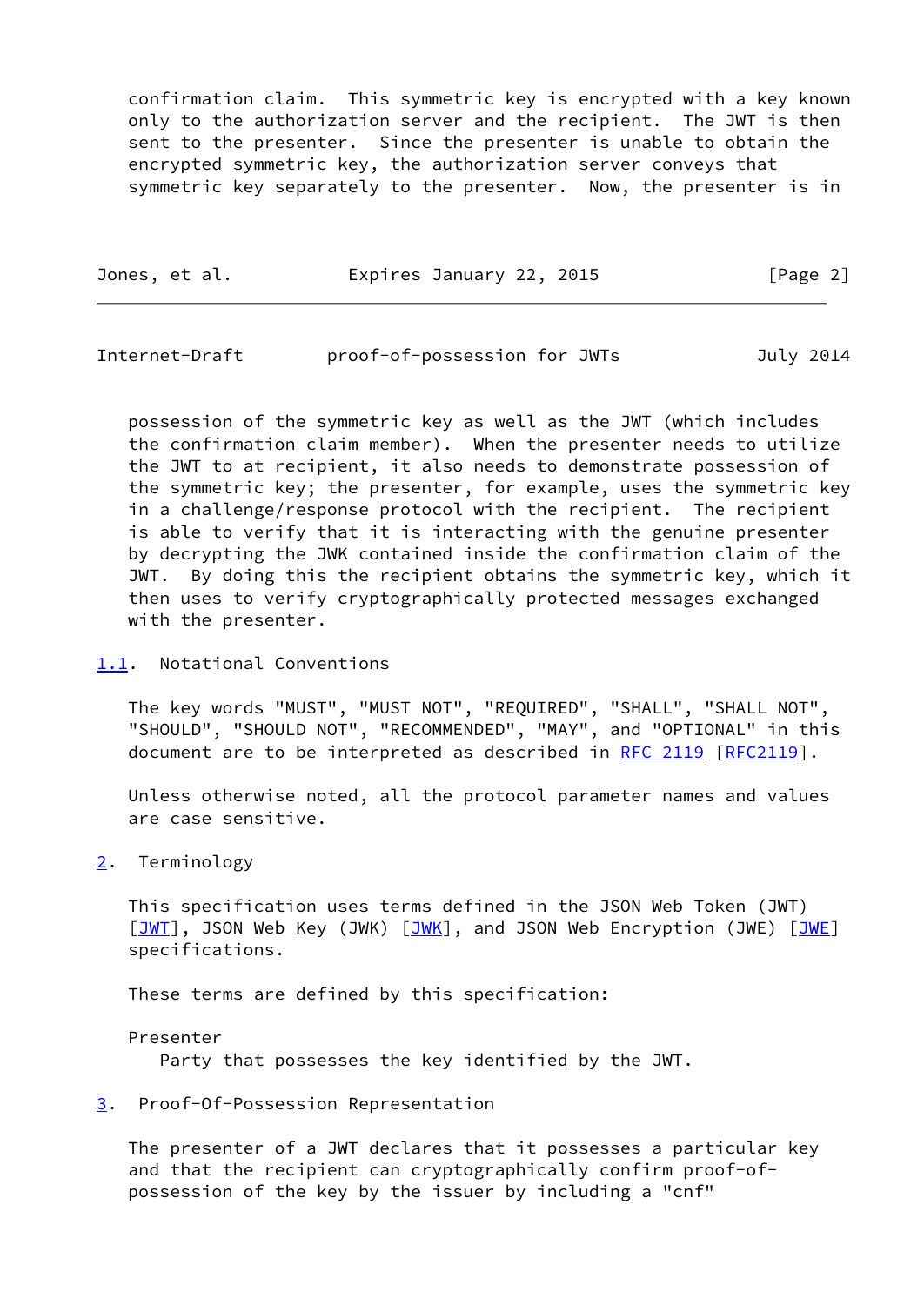confirmation claim. This symmetric key is encrypted with a key known only to the authorization server and the recipient. The JWT is then sent to the presenter. Since the presenter is unable to obtain the encrypted symmetric key, the authorization server conveys that symmetric key separately to the presenter. Now, the presenter is in

|  | Jones, et al. | Expires January 22, 2015 | [Page 2] |
|--|---------------|--------------------------|----------|
|--|---------------|--------------------------|----------|

<span id="page-2-1"></span>Internet-Draft proof-of-possession for JWTs July 2014

 possession of the symmetric key as well as the JWT (which includes the confirmation claim member). When the presenter needs to utilize the JWT to at recipient, it also needs to demonstrate possession of the symmetric key; the presenter, for example, uses the symmetric key in a challenge/response protocol with the recipient. The recipient is able to verify that it is interacting with the genuine presenter by decrypting the JWK contained inside the confirmation claim of the JWT. By doing this the recipient obtains the symmetric key, which it then uses to verify cryptographically protected messages exchanged with the presenter.

<span id="page-2-0"></span>[1.1](#page-2-0). Notational Conventions

 The key words "MUST", "MUST NOT", "REQUIRED", "SHALL", "SHALL NOT", "SHOULD", "SHOULD NOT", "RECOMMENDED", "MAY", and "OPTIONAL" in this document are to be interpreted as described in [RFC 2119 \[RFC2119](https://datatracker.ietf.org/doc/pdf/rfc2119)].

 Unless otherwise noted, all the protocol parameter names and values are case sensitive.

<span id="page-2-2"></span>[2](#page-2-2). Terminology

 This specification uses terms defined in the JSON Web Token (JWT)  $\boxed{\overline{\text{JWT}}}$ , JSON Web Key ([JWK](#page-9-6))  $\boxed{\overline{\text{JWK}}}$ , and JSON Web Encryption (JWE)  $\boxed{\overline{\text{JWE}}}$ specifications.

These terms are defined by this specification:

Presenter

Party that possesses the key identified by the JWT.

<span id="page-2-3"></span>[3](#page-2-3). Proof-Of-Possession Representation

 The presenter of a JWT declares that it possesses a particular key and that the recipient can cryptographically confirm proof-of possession of the key by the issuer by including a "cnf"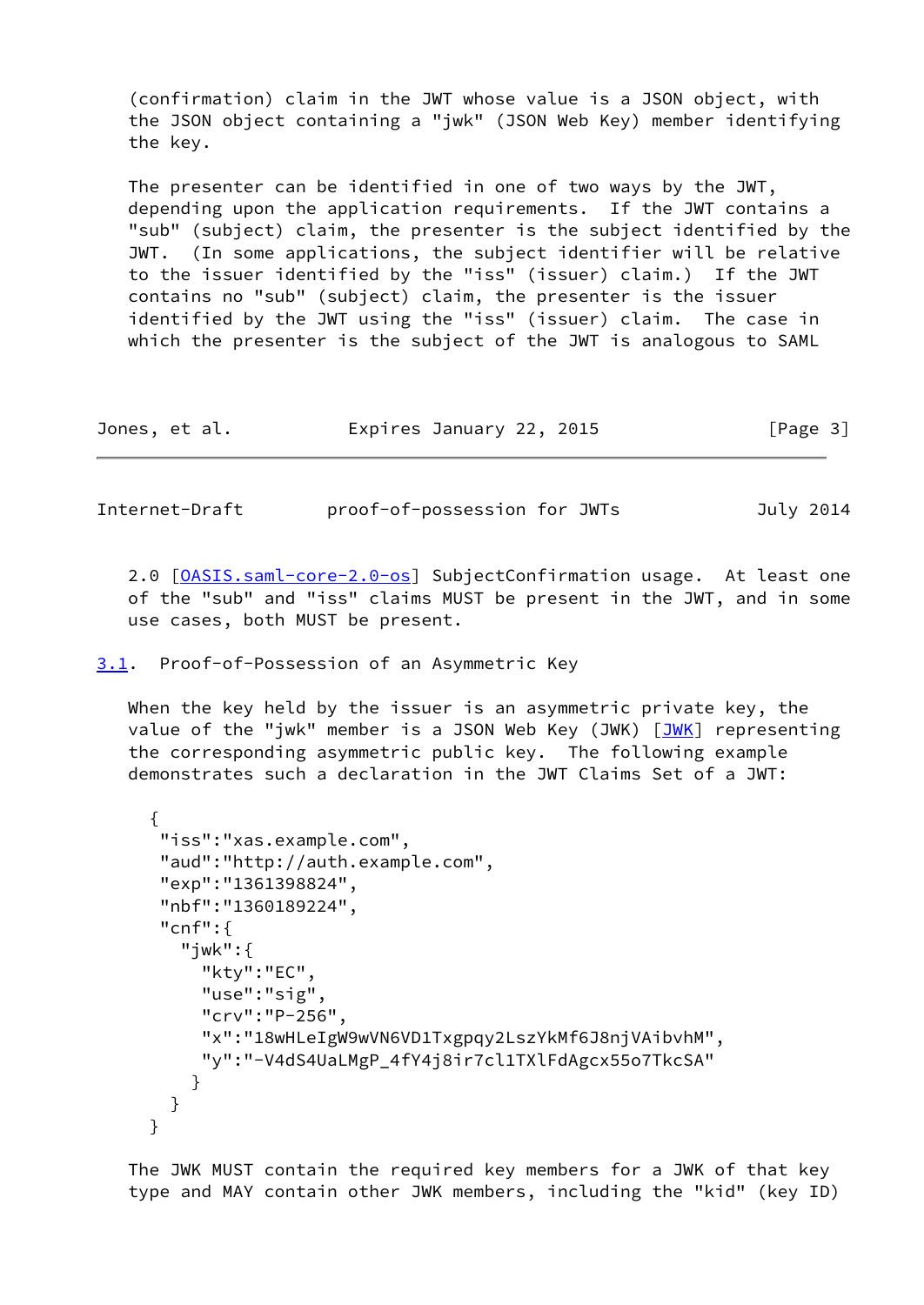(confirmation) claim in the JWT whose value is a JSON object, with the JSON object containing a "jwk" (JSON Web Key) member identifying the key.

 The presenter can be identified in one of two ways by the JWT, depending upon the application requirements. If the JWT contains a "sub" (subject) claim, the presenter is the subject identified by the JWT. (In some applications, the subject identifier will be relative to the issuer identified by the "iss" (issuer) claim.) If the JWT contains no "sub" (subject) claim, the presenter is the issuer identified by the JWT using the "iss" (issuer) claim. The case in which the presenter is the subject of the JWT is analogous to SAML

|  | Jones, et al. | Expires January 22, 2015 | [Page 3] |
|--|---------------|--------------------------|----------|
|--|---------------|--------------------------|----------|

<span id="page-3-1"></span>Internet-Draft proof-of-possession for JWTs July 2014

2.0 [\[OASIS.saml-core-2.0-os](#page-10-4)] SubjectConfirmation usage. At least one of the "sub" and "iss" claims MUST be present in the JWT, and in some use cases, both MUST be present.

<span id="page-3-0"></span>[3.1](#page-3-0). Proof-of-Possession of an Asymmetric Key

 When the key held by the issuer is an asymmetric private key, the value of the "jwk" member is a JSON Web Key ([JWK](#page-9-6)) [JWK] representing the corresponding asymmetric public key. The following example demonstrates such a declaration in the JWT Claims Set of a JWT:

```
 {
      "iss":"xas.example.com",
      "aud":"http://auth.example.com",
      "exp":"1361398824",
      "nbf":"1360189224",
      "cnf":{
        "jwk":{
          "kty":"EC",
          "use":"sig",
          "crv":"P-256",
          "x":"18wHLeIgW9wVN6VD1Txgpqy2LszYkMf6J8njVAibvhM",
          "y":"-V4dS4UaLMgP_4fY4j8ir7cl1TXlFdAgcx55o7TkcSA"
}
       }
     }
```
 The JWK MUST contain the required key members for a JWK of that key type and MAY contain other JWK members, including the "kid" (key ID)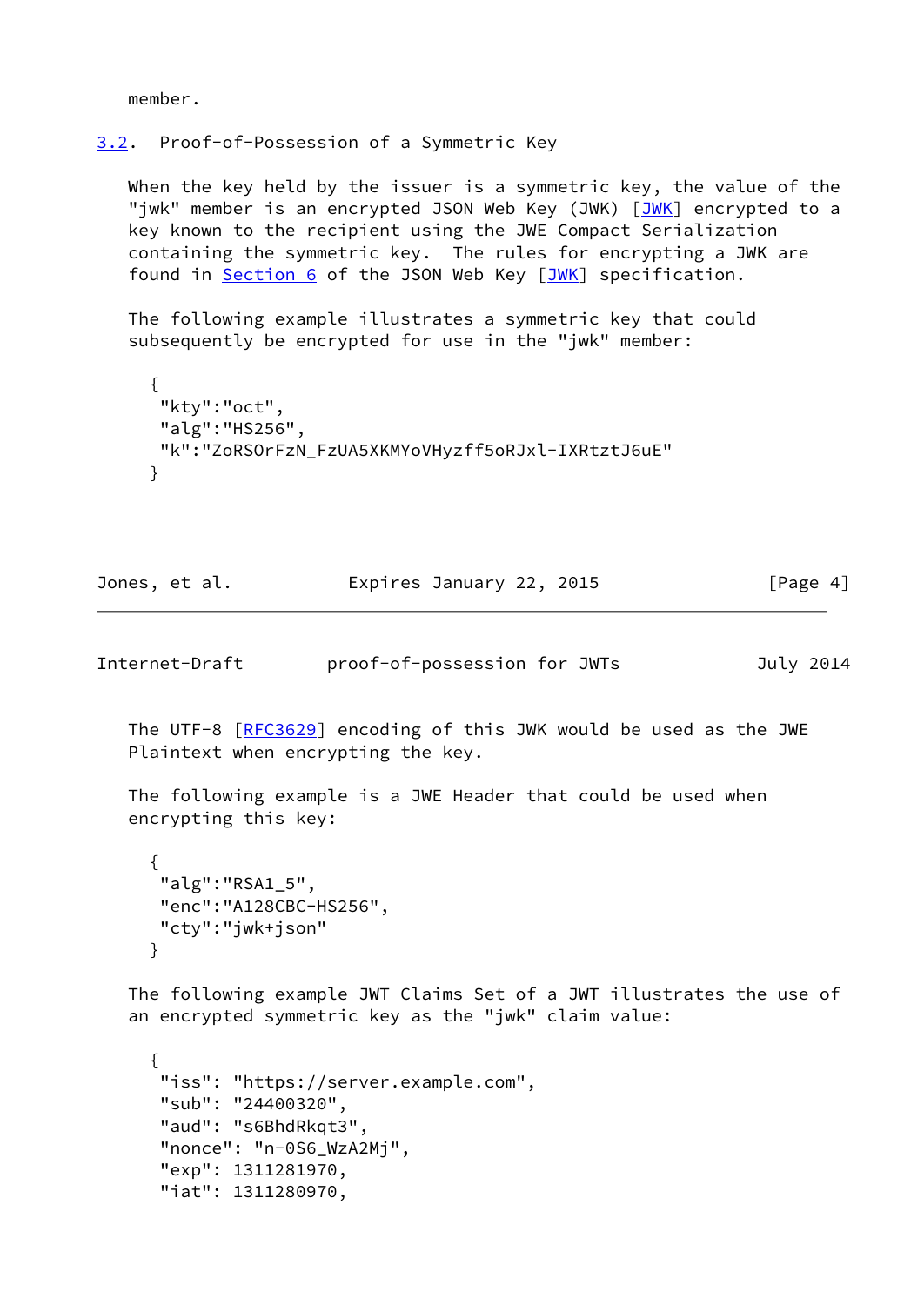member.

### <span id="page-4-0"></span>[3.2](#page-4-0). Proof-of-Possession of a Symmetric Key

 When the key held by the issuer is a symmetric key, the value of the "jwk" member is an encrypted JSON Web Key (JWK) [\[JWK](#page-9-6)] encrypted to a key known to the recipient using the JWE Compact Serialization containing the symmetric key. The rules for encrypting a JWK are found in [Section 6](#page-9-2) of the JSON Web Key [\[JWK](#page-9-6)] specification.

 The following example illustrates a symmetric key that could subsequently be encrypted for use in the "jwk" member:

```
 {
 "kty":"oct",
 "alg":"HS256",
"k":"ZoRSOrFzN_FzUA5XKMYoVHyzff5oRJxl-IXRtztJ6uE"
}
```

| Jones, et al. |                          |  |          |  |
|---------------|--------------------------|--|----------|--|
|               | Expires January 22, 2015 |  | [Page 4] |  |

<span id="page-4-1"></span>Internet-Draft proof-of-possession for JWTs July 2014

The UTF-8 [[RFC3629](https://datatracker.ietf.org/doc/pdf/rfc3629)] encoding of this JWK would be used as the JWE Plaintext when encrypting the key.

 The following example is a JWE Header that could be used when encrypting this key:

```
\{ "alg":"RSA1_5",
     "enc":"A128CBC-HS256",
     "cty":"jwk+json"
     }
```
 The following example JWT Claims Set of a JWT illustrates the use of an encrypted symmetric key as the "jwk" claim value:

```
 {
"iss": "https://server.example.com",
"sub": "24400320",
"aud": "s6BhdRkqt3",
"nonce": "n-0S6_WzA2Mj",
"exp": 1311281970,
"iat": 1311280970,
```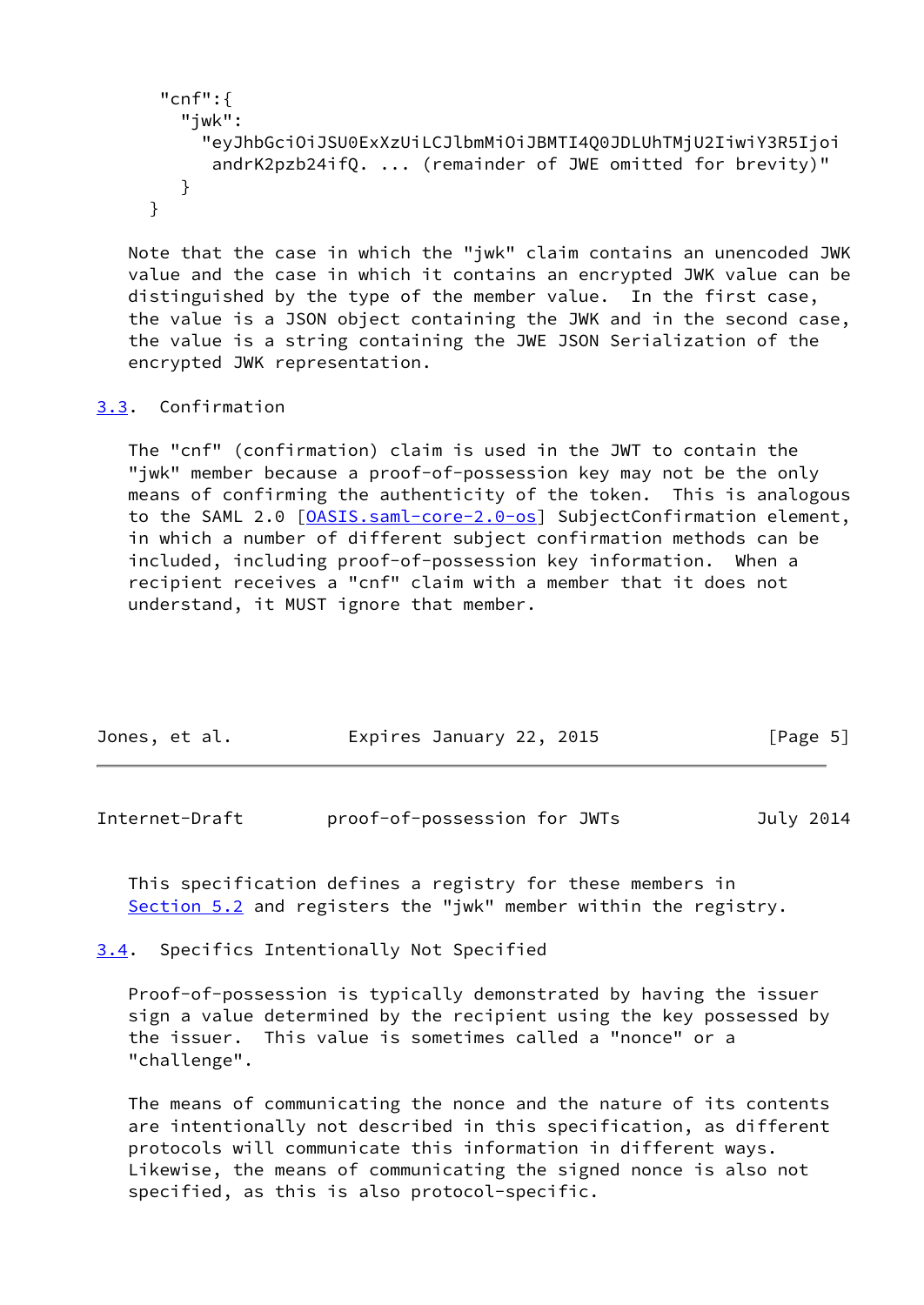```
 "cnf":{
   "jwk":
     "eyJhbGciOiJSU0ExXzUiLCJlbmMiOiJBMTI4Q0JDLUhTMjU2IiwiY3R5Ijoi
      andrK2pzb24ifQ. ... (remainder of JWE omitted for brevity)"
   }
}
```
 Note that the case in which the "jwk" claim contains an unencoded JWK value and the case in which it contains an encrypted JWK value can be distinguished by the type of the member value. In the first case, the value is a JSON object containing the JWK and in the second case, the value is a string containing the JWE JSON Serialization of the encrypted JWK representation.

### <span id="page-5-0"></span>[3.3](#page-5-0). Confirmation

 The "cnf" (confirmation) claim is used in the JWT to contain the "jwk" member because a proof-of-possession key may not be the only means of confirming the authenticity of the token. This is analogous to the SAML 2.0 [\[OASIS.saml-core-2.0-os](#page-10-4)] SubjectConfirmation element, in which a number of different subject confirmation methods can be included, including proof-of-possession key information. When a recipient receives a "cnf" claim with a member that it does not understand, it MUST ignore that member.

| Jones, et al. | Expires January 22, 2015 | [Page 5] |
|---------------|--------------------------|----------|
|               |                          |          |

<span id="page-5-2"></span>Internet-Draft proof-of-possession for JWTs July 2014

 This specification defines a registry for these members in [Section 5.2](#page-8-2) and registers the "jwk" member within the registry.

<span id="page-5-1"></span>[3.4](#page-5-1). Specifics Intentionally Not Specified

 Proof-of-possession is typically demonstrated by having the issuer sign a value determined by the recipient using the key possessed by the issuer. This value is sometimes called a "nonce" or a "challenge".

 The means of communicating the nonce and the nature of its contents are intentionally not described in this specification, as different protocols will communicate this information in different ways. Likewise, the means of communicating the signed nonce is also not specified, as this is also protocol-specific.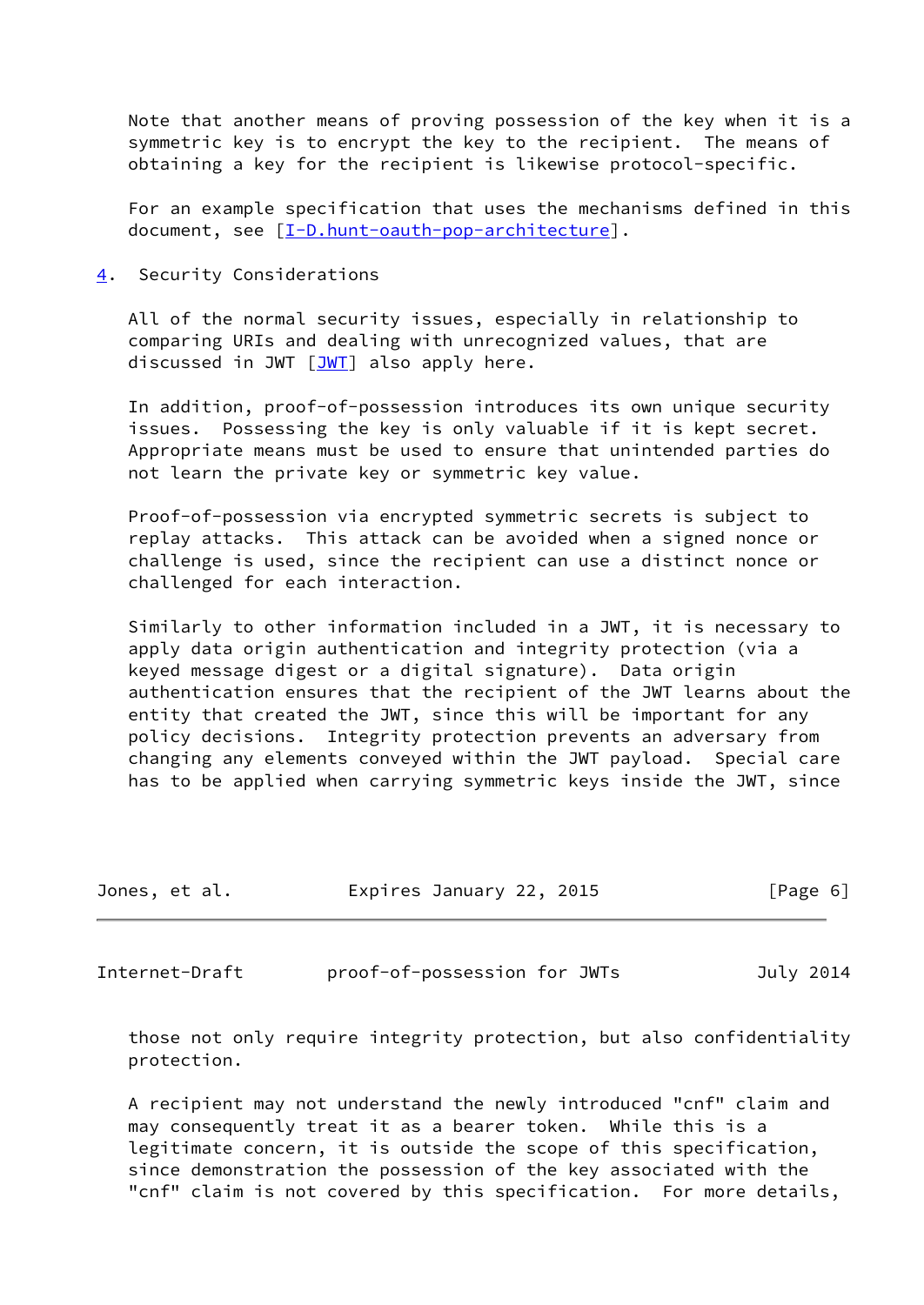Note that another means of proving possession of the key when it is a symmetric key is to encrypt the key to the recipient. The means of obtaining a key for the recipient is likewise protocol-specific.

 For an example specification that uses the mechanisms defined in this document, see [[I-D.hunt-oauth-pop-architecture](#page-9-8)].

<span id="page-6-0"></span>[4](#page-6-0). Security Considerations

 All of the normal security issues, especially in relationship to comparing URIs and dealing with unrecognized values, that are discussed in JWT  $[JWT]$  $[JWT]$  also apply here.

 In addition, proof-of-possession introduces its own unique security issues. Possessing the key is only valuable if it is kept secret. Appropriate means must be used to ensure that unintended parties do not learn the private key or symmetric key value.

 Proof-of-possession via encrypted symmetric secrets is subject to replay attacks. This attack can be avoided when a signed nonce or challenge is used, since the recipient can use a distinct nonce or challenged for each interaction.

 Similarly to other information included in a JWT, it is necessary to apply data origin authentication and integrity protection (via a keyed message digest or a digital signature). Data origin authentication ensures that the recipient of the JWT learns about the entity that created the JWT, since this will be important for any policy decisions. Integrity protection prevents an adversary from changing any elements conveyed within the JWT payload. Special care has to be applied when carrying symmetric keys inside the JWT, since

| Jones, et al. | Expires January 22, 2015 | [Page 6] |
|---------------|--------------------------|----------|
|               |                          |          |

<span id="page-6-1"></span>Internet-Draft proof-of-possession for JWTs July 2014

 those not only require integrity protection, but also confidentiality protection.

 A recipient may not understand the newly introduced "cnf" claim and may consequently treat it as a bearer token. While this is a legitimate concern, it is outside the scope of this specification, since demonstration the possession of the key associated with the "cnf" claim is not covered by this specification. For more details,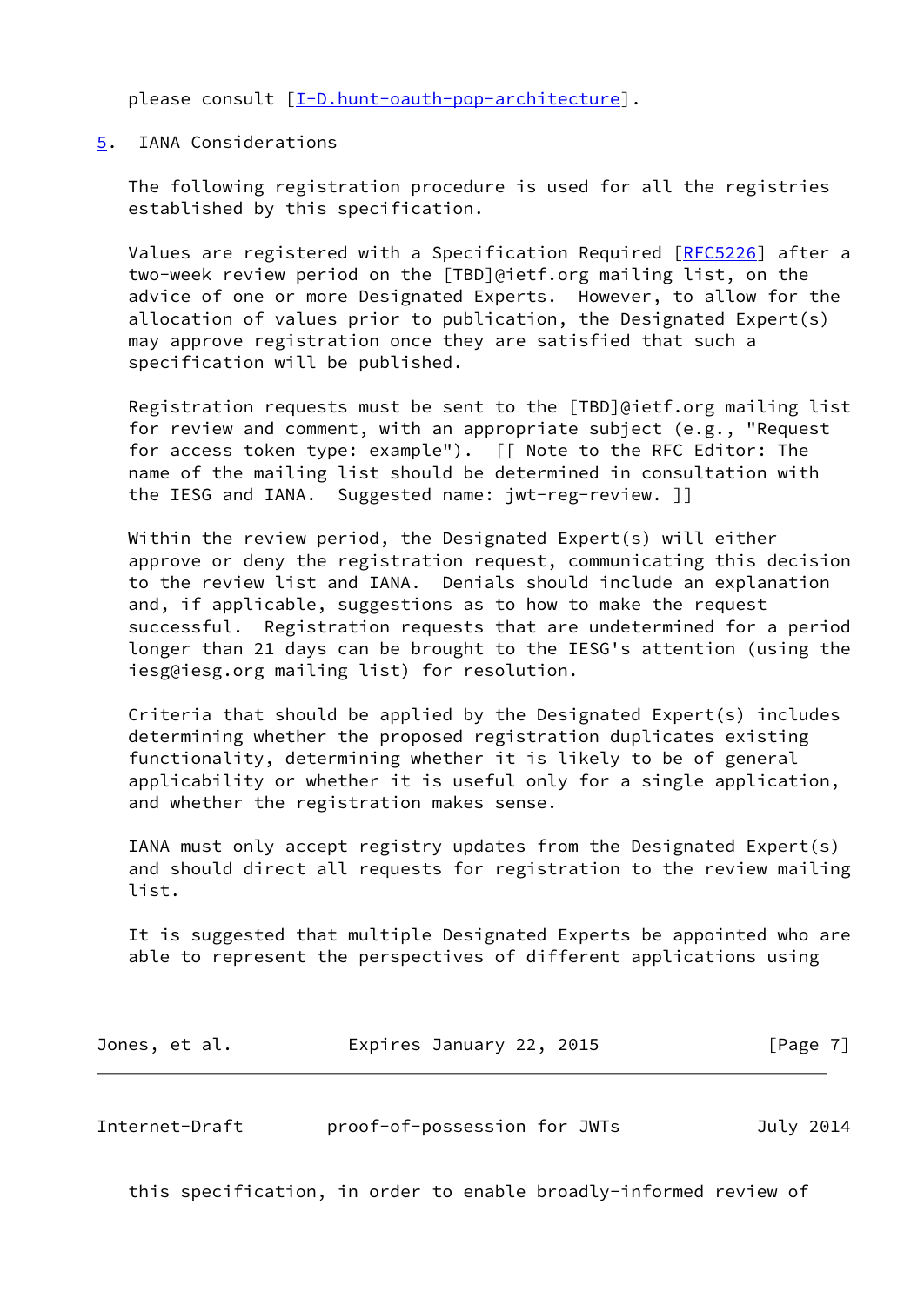please consult [\[I-D.hunt-oauth-pop-architecture](#page-9-8)].

### <span id="page-7-0"></span>[5](#page-7-0). IANA Considerations

 The following registration procedure is used for all the registries established by this specification.

 Values are registered with a Specification Required [\[RFC5226](https://datatracker.ietf.org/doc/pdf/rfc5226)] after a two-week review period on the [TBD]@ietf.org mailing list, on the advice of one or more Designated Experts. However, to allow for the allocation of values prior to publication, the Designated Expert(s) may approve registration once they are satisfied that such a specification will be published.

 Registration requests must be sent to the [TBD]@ietf.org mailing list for review and comment, with an appropriate subject (e.g., "Request for access token type: example"). [[ Note to the RFC Editor: The name of the mailing list should be determined in consultation with the IESG and IANA. Suggested name: jwt-reg-review. ]]

 Within the review period, the Designated Expert(s) will either approve or deny the registration request, communicating this decision to the review list and IANA. Denials should include an explanation and, if applicable, suggestions as to how to make the request successful. Registration requests that are undetermined for a period longer than 21 days can be brought to the IESG's attention (using the iesg@iesg.org mailing list) for resolution.

 Criteria that should be applied by the Designated Expert(s) includes determining whether the proposed registration duplicates existing functionality, determining whether it is likely to be of general applicability or whether it is useful only for a single application, and whether the registration makes sense.

 IANA must only accept registry updates from the Designated Expert(s) and should direct all requests for registration to the review mailing list.

 It is suggested that multiple Designated Experts be appointed who are able to represent the perspectives of different applications using

| Jones, et al. | Expires January 22, 2015 | [Page 7] |
|---------------|--------------------------|----------|
|---------------|--------------------------|----------|

<span id="page-7-1"></span>Internet-Draft proof-of-possession for JWTs July 2014

this specification, in order to enable broadly-informed review of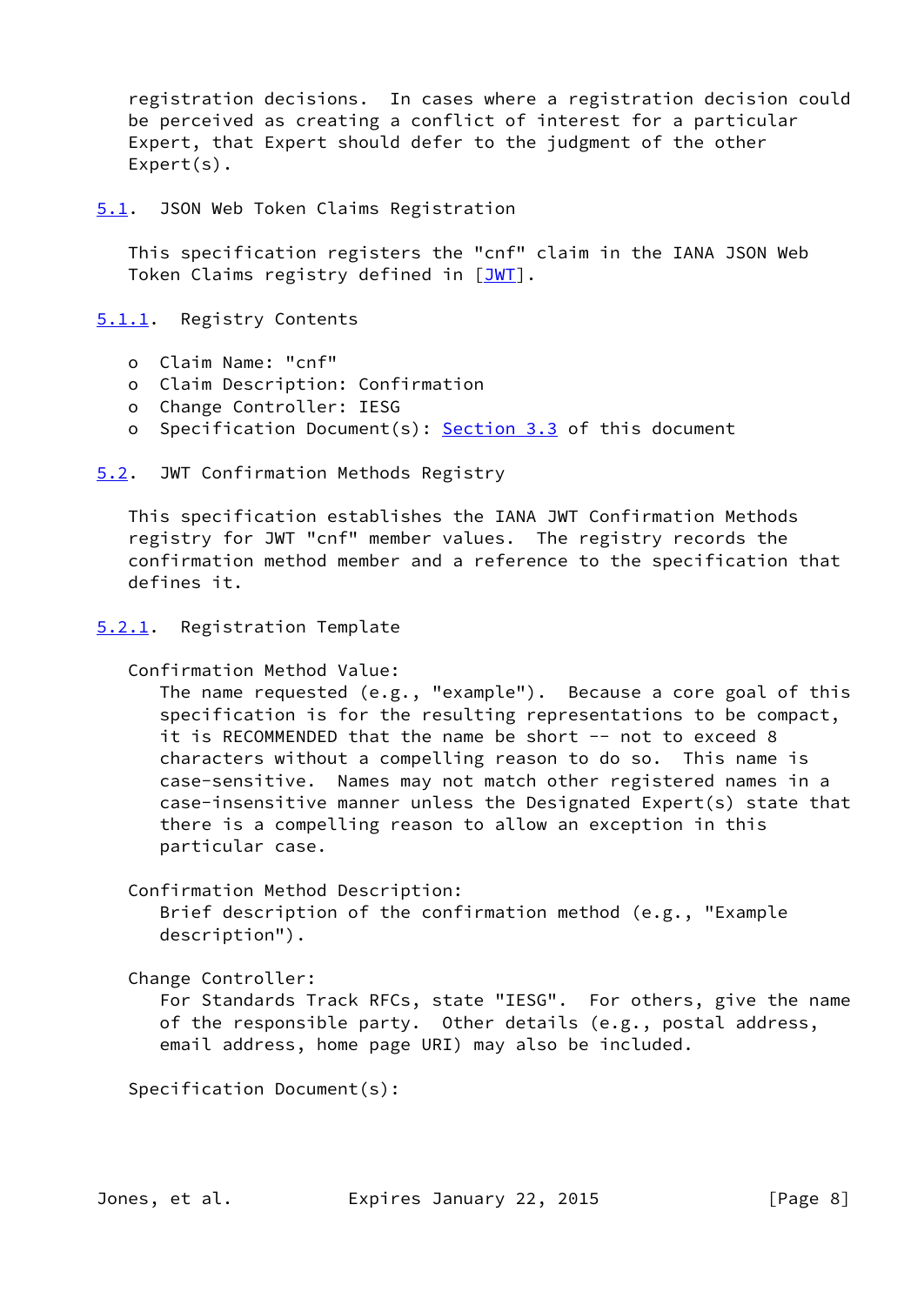registration decisions. In cases where a registration decision could be perceived as creating a conflict of interest for a particular Expert, that Expert should defer to the judgment of the other Expert(s).

<span id="page-8-0"></span>[5.1](#page-8-0). JSON Web Token Claims Registration

 This specification registers the "cnf" claim in the IANA JSON Web Token Claims registry defined in [\[JWT](#page-9-5)].

<span id="page-8-1"></span>[5.1.1](#page-8-1). Registry Contents

- o Claim Name: "cnf"
- o Claim Description: Confirmation
- o Change Controller: IESG
- o Specification Document(s): [Section 3.3](#page-5-0) of this document

<span id="page-8-2"></span>[5.2](#page-8-2). JWT Confirmation Methods Registry

 This specification establishes the IANA JWT Confirmation Methods registry for JWT "cnf" member values. The registry records the confirmation method member and a reference to the specification that defines it.

```
5.2.1. Registration Template
```
Confirmation Method Value:

 The name requested (e.g., "example"). Because a core goal of this specification is for the resulting representations to be compact, it is RECOMMENDED that the name be short -- not to exceed 8 characters without a compelling reason to do so. This name is case-sensitive. Names may not match other registered names in a case-insensitive manner unless the Designated Expert(s) state that there is a compelling reason to allow an exception in this particular case.

Confirmation Method Description:

 Brief description of the confirmation method (e.g., "Example description").

Change Controller:

 For Standards Track RFCs, state "IESG". For others, give the name of the responsible party. Other details (e.g., postal address, email address, home page URI) may also be included.

Specification Document(s):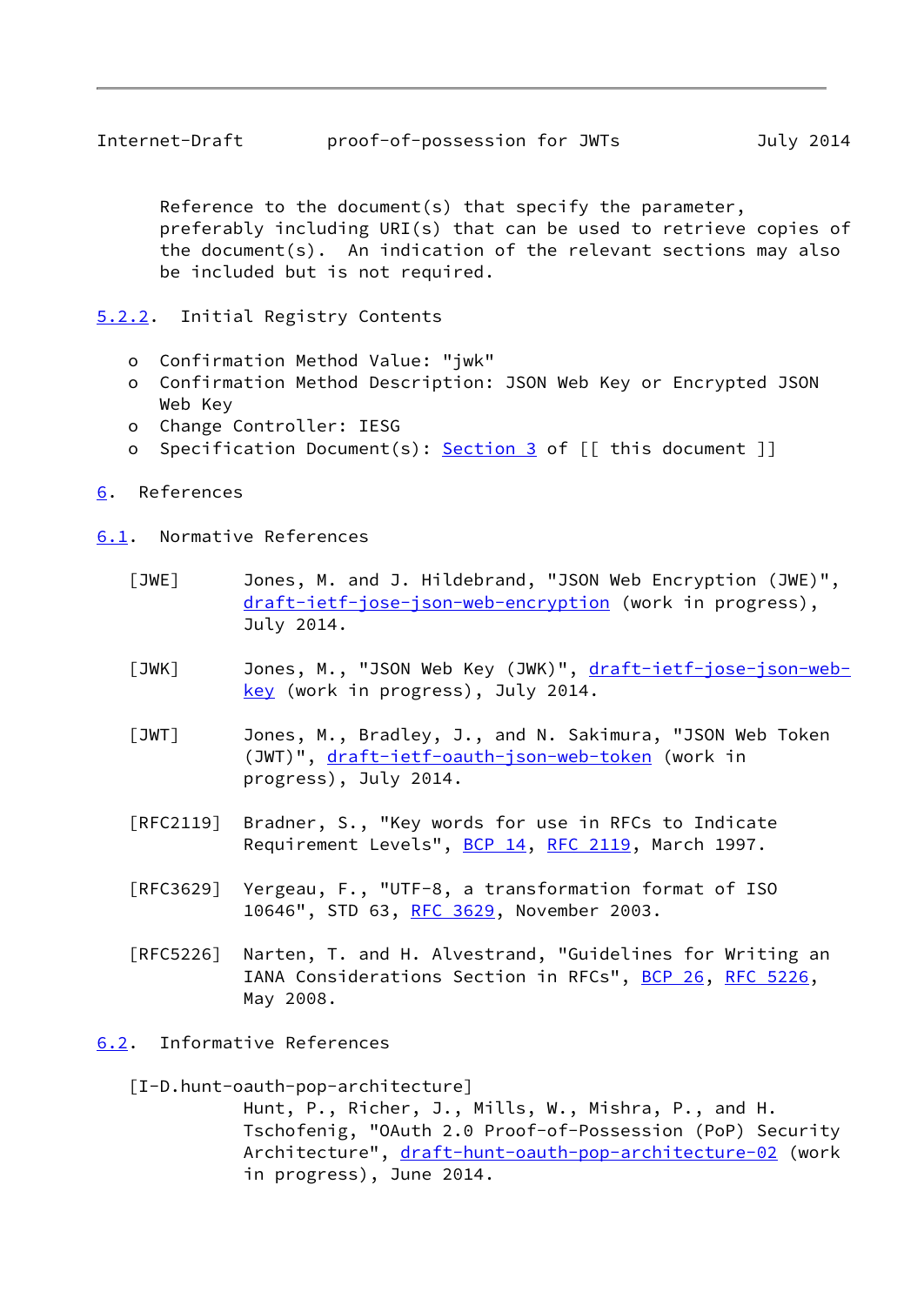<span id="page-9-1"></span> Reference to the document(s) that specify the parameter, preferably including URI(s) that can be used to retrieve copies of the document(s). An indication of the relevant sections may also be included but is not required.

<span id="page-9-0"></span>[5.2.2](#page-9-0). Initial Registry Contents

- o Confirmation Method Value: "jwk"
- o Confirmation Method Description: JSON Web Key or Encrypted JSON Web Key
- o Change Controller: IESG
- o Specification Document(s): [Section 3](#page-2-3) of [[ this document ]]
- <span id="page-9-2"></span>[6](#page-9-2). References

<span id="page-9-3"></span>[6.1](#page-9-3). Normative References

- <span id="page-9-7"></span> [JWE] Jones, M. and J. Hildebrand, "JSON Web Encryption (JWE)", [draft-ietf-jose-json-web-encryption](https://datatracker.ietf.org/doc/pdf/draft-ietf-jose-json-web-encryption) (work in progress), July 2014.
- <span id="page-9-6"></span>[JWK] Jones, M., "JSON Web Key (JWK)", [draft-ietf-jose-json-web](https://datatracker.ietf.org/doc/pdf/draft-ietf-jose-json-web-key) [key](https://datatracker.ietf.org/doc/pdf/draft-ietf-jose-json-web-key) (work in progress), July 2014.
- <span id="page-9-5"></span> [JWT] Jones, M., Bradley, J., and N. Sakimura, "JSON Web Token (JWT)", [draft-ietf-oauth-json-web-token](https://datatracker.ietf.org/doc/pdf/draft-ietf-oauth-json-web-token) (work in progress), July 2014.
- [RFC2119] Bradner, S., "Key words for use in RFCs to Indicate Requirement Levels", [BCP 14](https://datatracker.ietf.org/doc/pdf/bcp14), [RFC 2119](https://datatracker.ietf.org/doc/pdf/rfc2119), March 1997.
- [RFC3629] Yergeau, F., "UTF-8, a transformation format of ISO 10646", STD 63, [RFC 3629,](https://datatracker.ietf.org/doc/pdf/rfc3629) November 2003.
- [RFC5226] Narten, T. and H. Alvestrand, "Guidelines for Writing an IANA Considerations Section in RFCs", [BCP 26](https://datatracker.ietf.org/doc/pdf/bcp26), [RFC 5226](https://datatracker.ietf.org/doc/pdf/rfc5226), May 2008.
- <span id="page-9-4"></span>[6.2](#page-9-4). Informative References

<span id="page-9-8"></span>[I-D.hunt-oauth-pop-architecture]

 Hunt, P., Richer, J., Mills, W., Mishra, P., and H. Tschofenig, "OAuth 2.0 Proof-of-Possession (PoP) Security Architecture", [draft-hunt-oauth-pop-architecture-02](https://datatracker.ietf.org/doc/pdf/draft-hunt-oauth-pop-architecture-02) (work in progress), June 2014.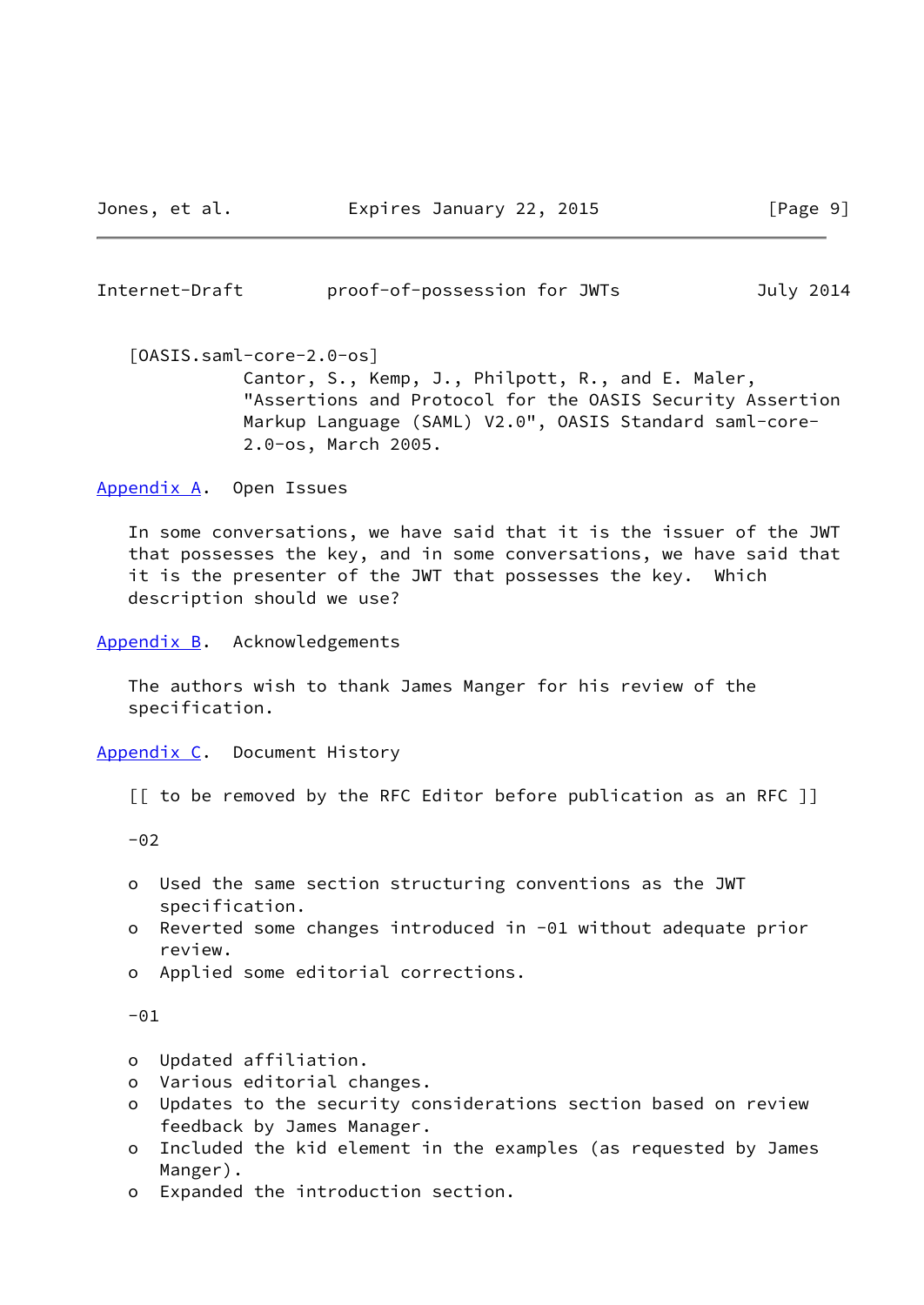<span id="page-10-1"></span>Internet-Draft proof-of-possession for JWTs July 2014

<span id="page-10-4"></span> [OASIS.saml-core-2.0-os] Cantor, S., Kemp, J., Philpott, R., and E. Maler, "Assertions and Protocol for the OASIS Security Assertion Markup Language (SAML) V2.0", OASIS Standard saml-core- 2.0-os, March 2005.

<span id="page-10-0"></span>[Appendix A.](#page-10-0) Open Issues

 In some conversations, we have said that it is the issuer of the JWT that possesses the key, and in some conversations, we have said that it is the presenter of the JWT that possesses the key. Which description should we use?

<span id="page-10-2"></span>[Appendix B.](#page-10-2) Acknowledgements

 The authors wish to thank James Manger for his review of the specification.

<span id="page-10-3"></span>[Appendix C.](#page-10-3) Document History

[[ to be removed by the RFC Editor before publication as an RFC ]]

 $-02$ 

- o Used the same section structuring conventions as the JWT specification.
- o Reverted some changes introduced in -01 without adequate prior review.
- o Applied some editorial corrections.

 $-01$ 

- o Updated affiliation.
- o Various editorial changes.
- o Updates to the security considerations section based on review feedback by James Manager.
- o Included the kid element in the examples (as requested by James Manger).
- o Expanded the introduction section.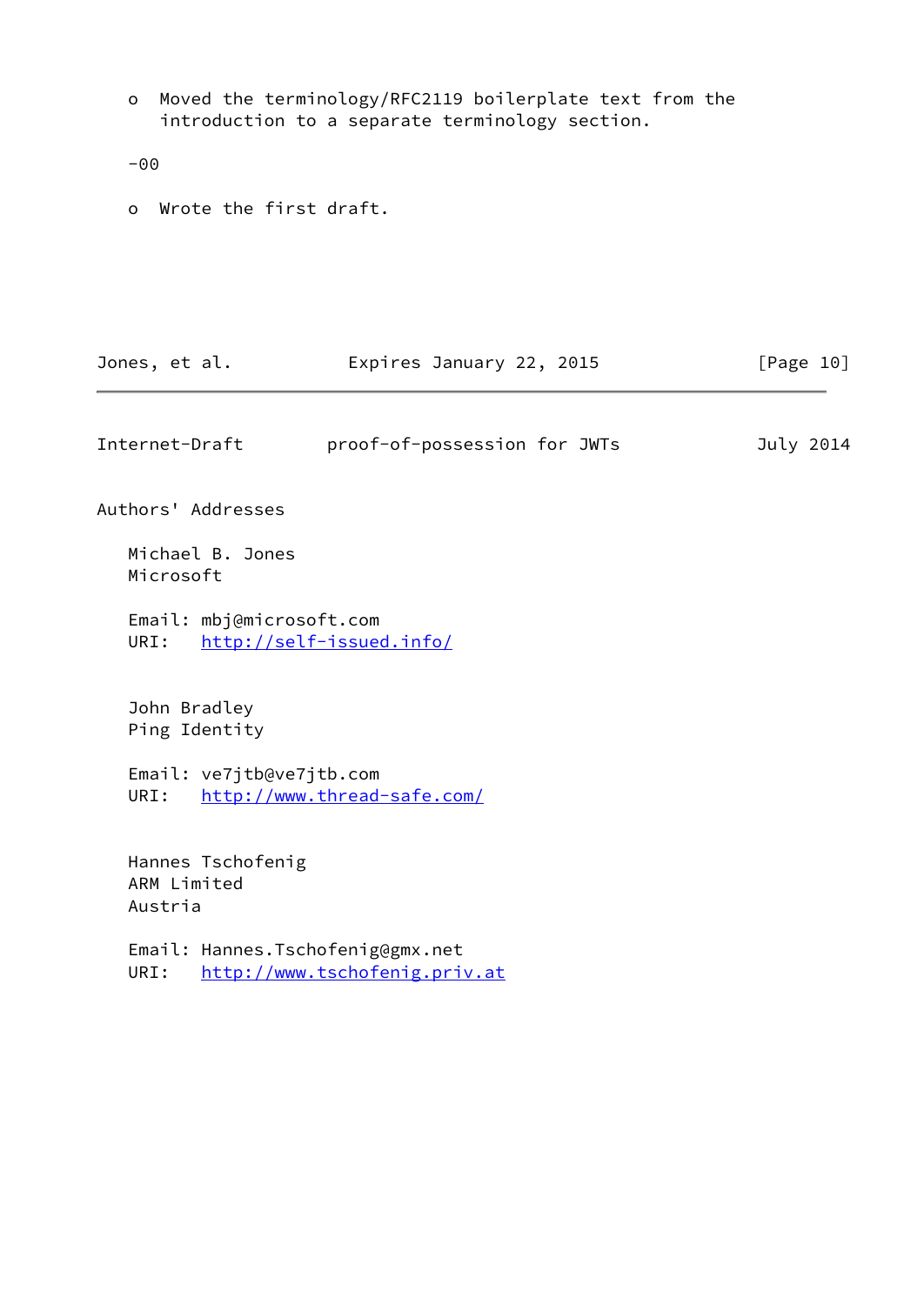o Moved the terminology/RFC2119 boilerplate text from the introduction to a separate terminology section. -00

o Wrote the first draft.

<span id="page-11-0"></span>

| Jones, et al.  | Expires January 22, 2015     | [Page 10] |
|----------------|------------------------------|-----------|
|                |                              |           |
| Internet-Draft | proof-of-possession for JWTs | July 2014 |

Authors' Addresses

 Michael B. Jones Microsoft

 Email: mbj@microsoft.com URI: <http://self-issued.info/>

 John Bradley Ping Identity

 Email: ve7jtb@ve7jtb.com URI: <http://www.thread-safe.com/>

 Hannes Tschofenig ARM Limited Austria

 Email: Hannes.Tschofenig@gmx.net URI: <http://www.tschofenig.priv.at>